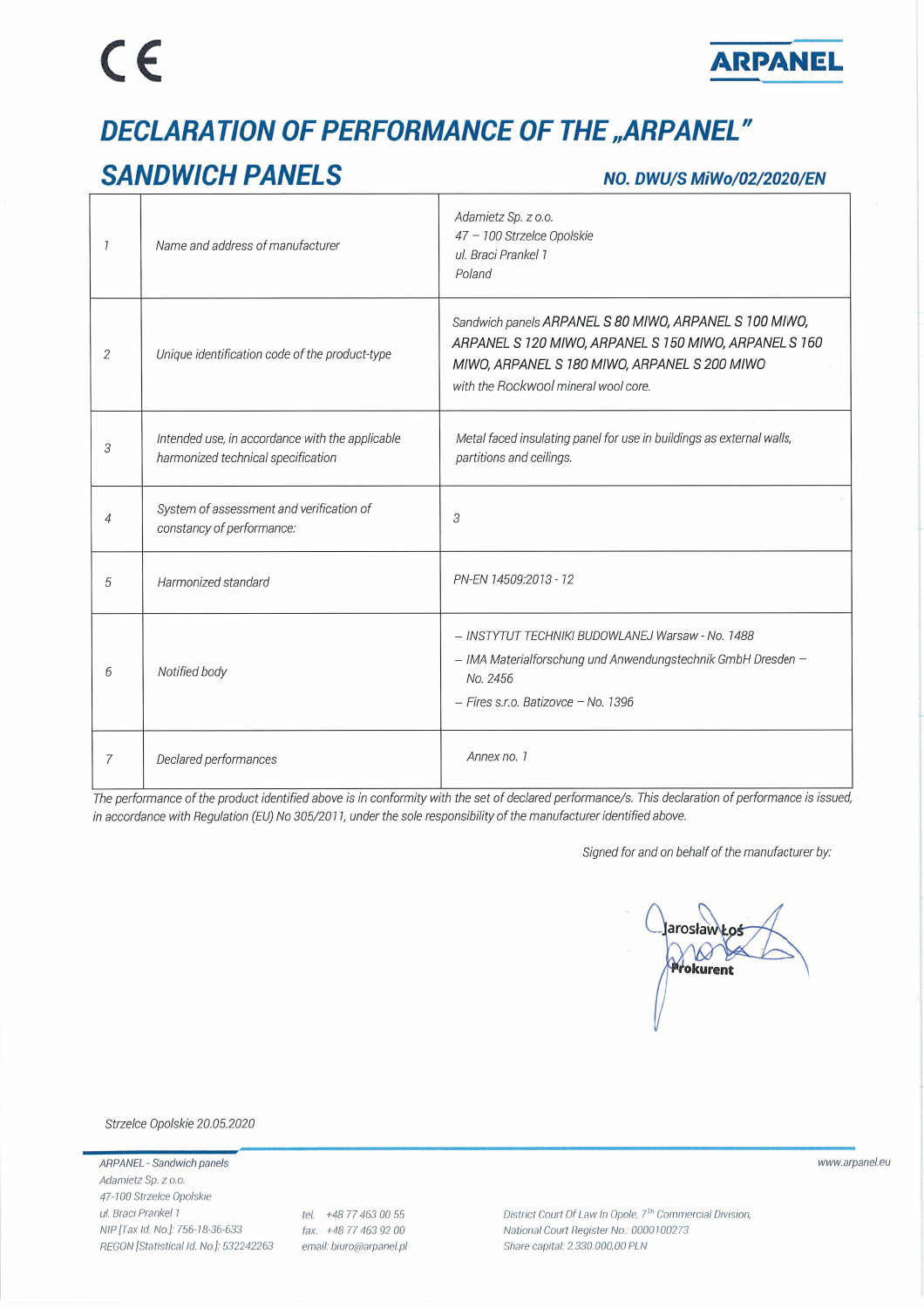# $\epsilon$



## **DECLARATION OF PERFORMANCE OF THE "ARPANEL"**

### **SANDWICH PANELS**

#### NO. DWU/S MiWo/02/2020/EN

| 7 | Name and address of manufacturer                                                      | Adamietz Sp. z o.o.<br>47 - 100 Strzelce Opolskie<br>ul. Braci Prankel 1<br>Poland                                                                                                                      |
|---|---------------------------------------------------------------------------------------|---------------------------------------------------------------------------------------------------------------------------------------------------------------------------------------------------------|
| 2 | Unique identification code of the product-type                                        | Sandwich panels ARPANEL S 80 MIWO, ARPANEL S 100 MIWO,<br>ARPANEL S 120 MIWO, ARPANEL S 150 MIWO, ARPANEL S 160<br>MIWO, ARPANEL S 180 MIWO, ARPANEL S 200 MIWO<br>with the Rockwool mineral wool core. |
| 3 | Intended use, in accordance with the applicable<br>harmonized technical specification | Metal faced insulating panel for use in buildings as external walls,<br>partitions and ceilings.                                                                                                        |
| 4 | System of assessment and verification of<br>constancy of performance:                 | 3                                                                                                                                                                                                       |
| 5 | Harmonized standard                                                                   | PN-EN 14509:2013 - 12                                                                                                                                                                                   |
| 6 | Notified body                                                                         | - INSTYTUT TECHNIKI BUDOWLANEJ Warsaw - No. 1488<br>- IMA Materialforschung und Anwendungstechnik GmbH Dresden -<br>No. 2456<br>$-$ Fires s.r.o. Batizovce $-$ No. 1396                                 |
|   | Declared performances                                                                 | Annex no. 1                                                                                                                                                                                             |

The performance of the product identified above is in conformity with the set of declared performance/s. This declaration of performance is issued, in accordance with Regulation (EU) No 305/2011, under the sole responsibility of the manufacturer identified above.

Signed for and on behalf of the manufacturer by:

larosław V. Prokurent

Strzelce Opolskie 20.05.2020

ARPANEL - Sandwich panels Adamietz Sp. z o.o. 47-100 Strzelce Opolskie ul. Braci Prankel 1 NIP [Tax Id. No.]: 756-18-36-633 REGON [Statistical Id. No.]: 532242263

tel. +48 77 463 00 55 fax. +48 77 463 92 00 email: biuro@arpanel.pl District Court Of Law In Opole, 7<sup>Th</sup> Commercial Division, National Court Register No.: 0000100273 Share capital: 2.330.000,00 PLN

www.arpanel.eu